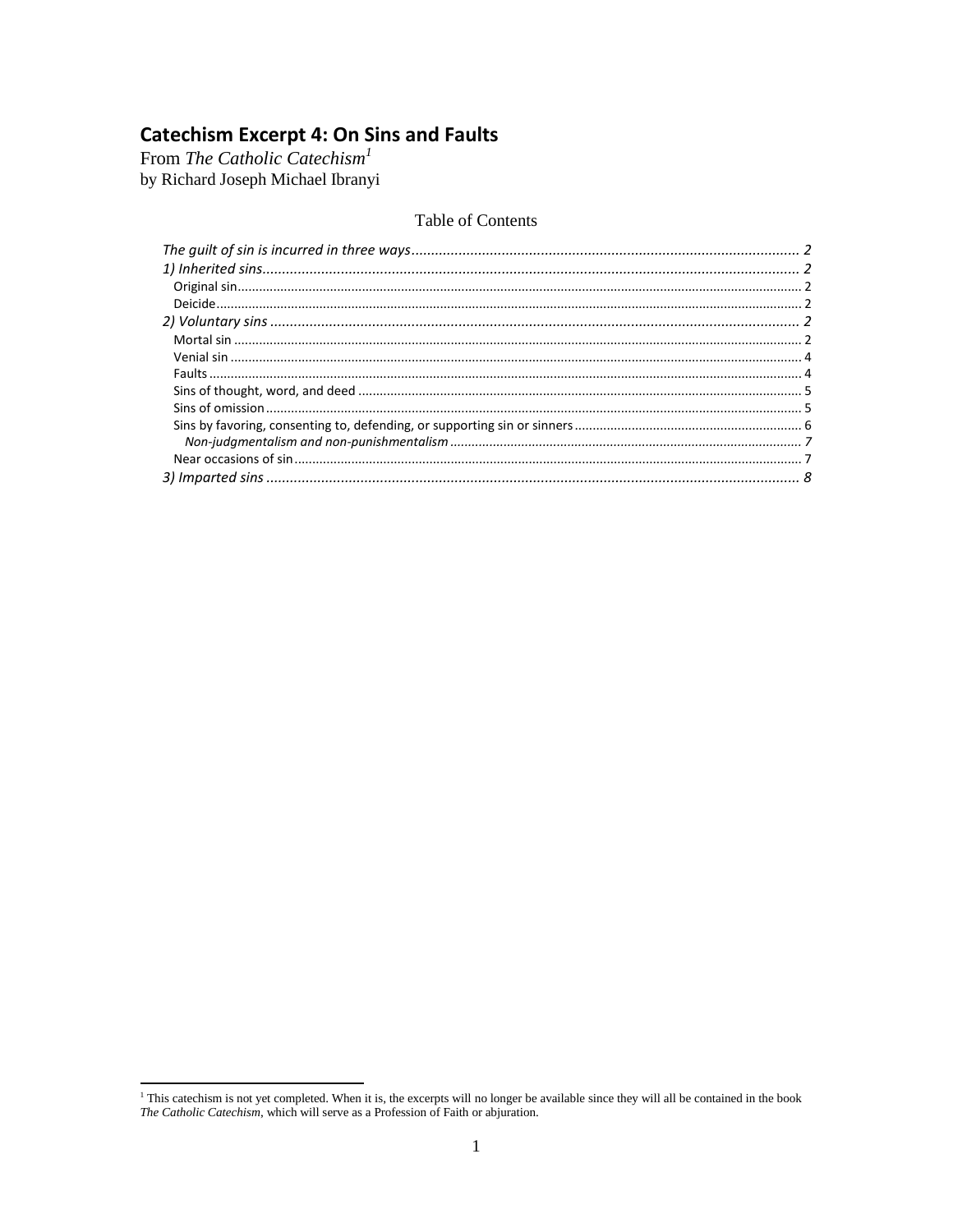**Catechism Excerpt 4: On Sins and Faults**<br>From *The Catholic Catechism<sup>1</sup>*<br>by Richard Joseph Michael Ibranyi

# Table of Contents

<sup>&</sup>lt;sup>1</sup> This catechism is not yet completed. When it is, the excerpts will no longer be available since they will all be contained in the book *The Catholic Catechism*, which will serve as a Profession of Faith or abjuration.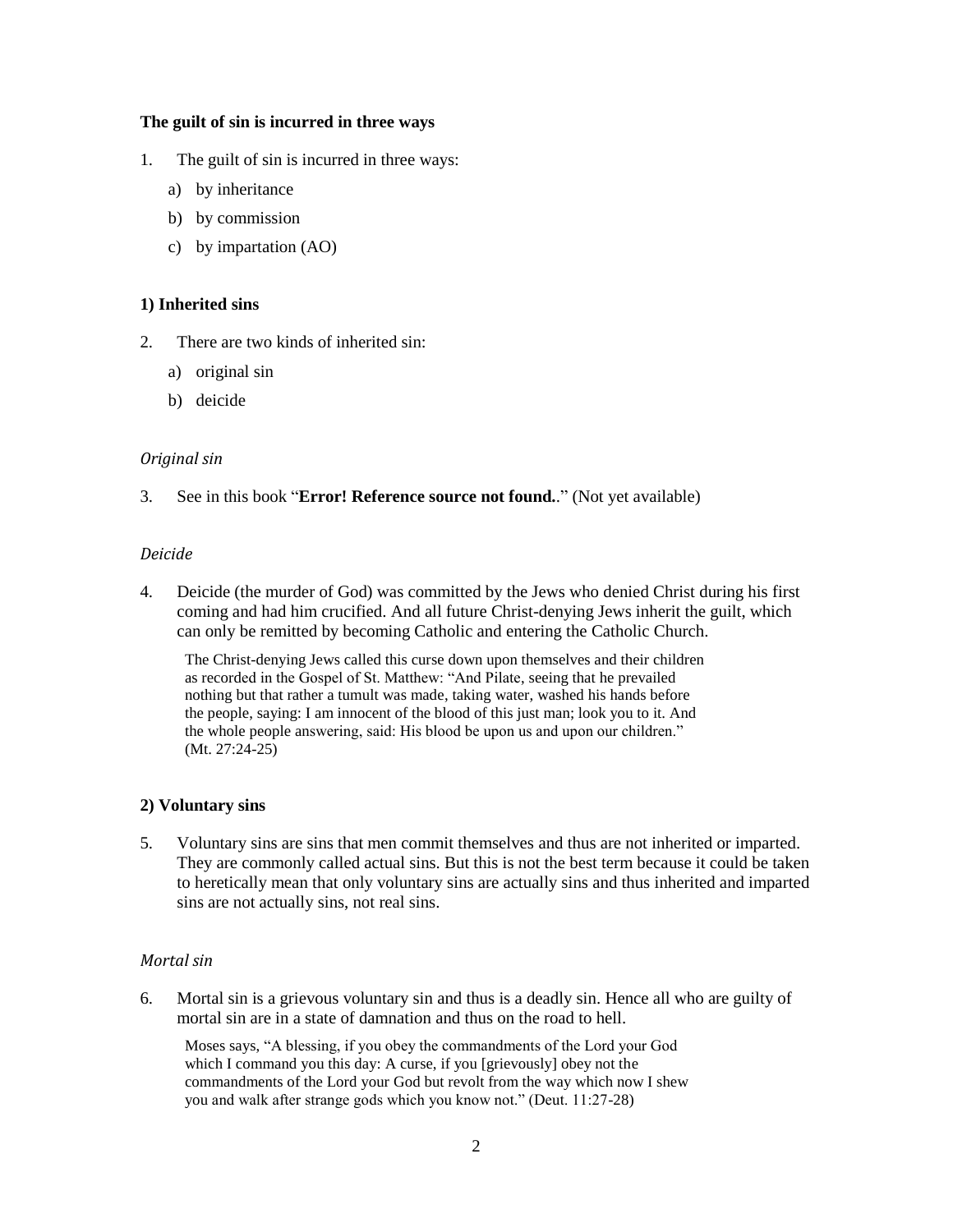## <span id="page-1-0"></span>**The guilt of sin is incurred in three ways**

- 1. The guilt of sin is incurred in three ways:
	- a) by inheritance
	- b) by commission
	- c) by impartation (AO)

# <span id="page-1-1"></span>**1) Inherited sins**

- 2. There are two kinds of inherited sin:
	- a) original sin
	- b) deicide

## <span id="page-1-2"></span>*Original sin*

<span id="page-1-3"></span>3. See in this book "**Error! Reference source not found.**." (Not yet available)

## *Deicide*

4. Deicide (the murder of God) was committed by the Jews who denied Christ during his first coming and had him crucified. And all future Christ-denying Jews inherit the guilt, which can only be remitted by becoming Catholic and entering the Catholic Church.

The Christ-denying Jews called this curse down upon themselves and their children as recorded in the Gospel of St. Matthew: "And Pilate, seeing that he prevailed nothing but that rather a tumult was made, taking water, washed his hands before the people, saying: I am innocent of the blood of this just man; look you to it. And the whole people answering, said: His blood be upon us and upon our children." (Mt. 27:24-25)

## <span id="page-1-4"></span>**2) Voluntary sins**

5. Voluntary sins are sins that men commit themselves and thus are not inherited or imparted. They are commonly called actual sins. But this is not the best term because it could be taken to heretically mean that only voluntary sins are actually sins and thus inherited and imparted sins are not actually sins, not real sins.

# <span id="page-1-5"></span>*Mortal sin*

6. Mortal sin is a grievous voluntary sin and thus is a deadly sin. Hence all who are guilty of mortal sin are in a state of damnation and thus on the road to hell.

Moses says, "A blessing, if you obey the commandments of the Lord your God which I command you this day: A curse, if you [grievously] obey not the commandments of the Lord your God but revolt from the way which now I shew you and walk after strange gods which you know not." (Deut. 11:27-28)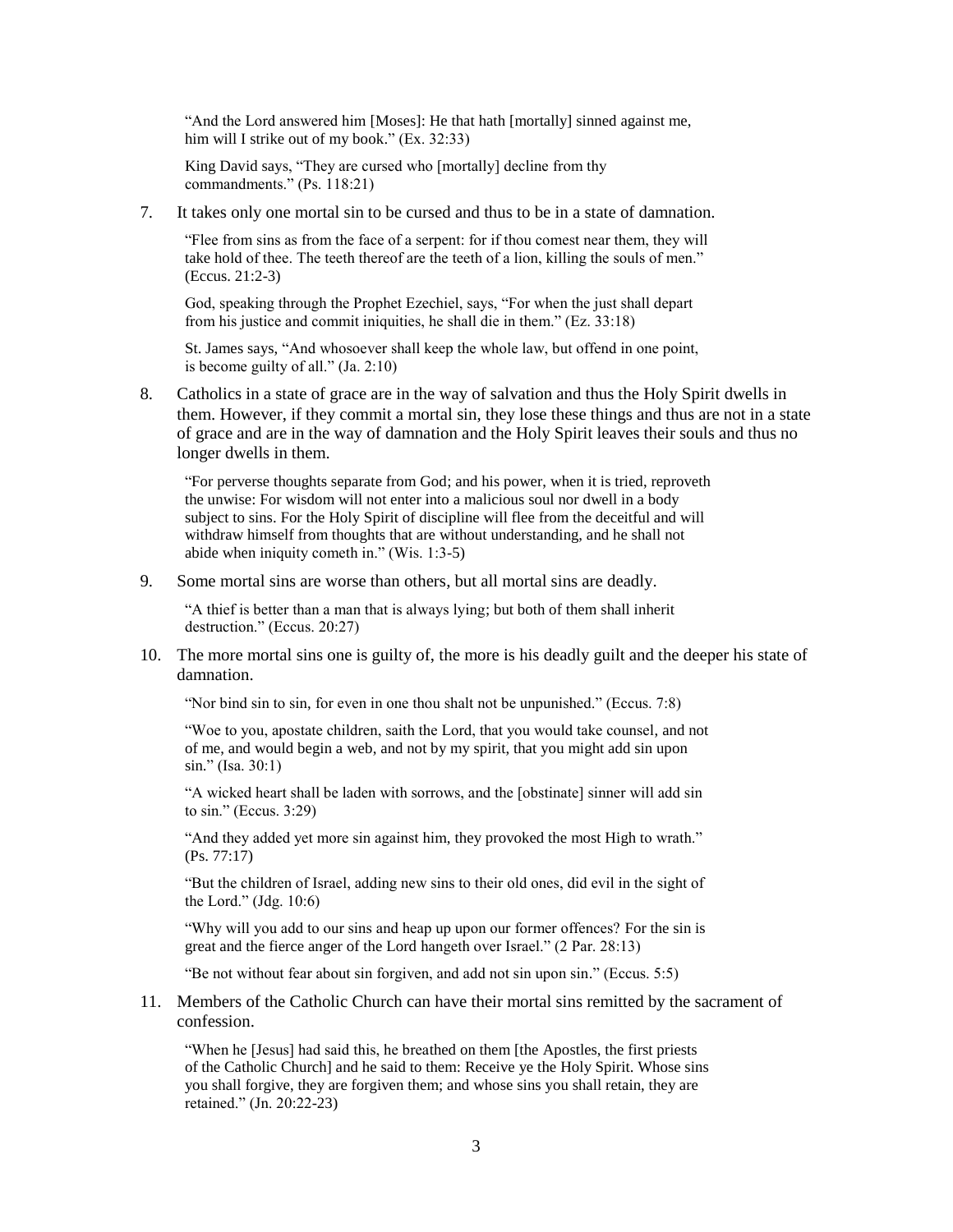"And the Lord answered him [Moses]: He that hath [mortally] sinned against me, him will I strike out of my book." (Ex. 32:33)

King David says, "They are cursed who [mortally] decline from thy commandments." (Ps. 118:21)

7. It takes only one mortal sin to be cursed and thus to be in a state of damnation.

"Flee from sins as from the face of a serpent: for if thou comest near them, they will take hold of thee. The teeth thereof are the teeth of a lion, killing the souls of men." (Eccus. 21:2-3)

God, speaking through the Prophet Ezechiel, says, "For when the just shall depart from his justice and commit iniquities, he shall die in them." (Ez. 33:18)

St. James says, "And whosoever shall keep the whole law, but offend in one point, is become guilty of all." (Ja. 2:10)

8. Catholics in a state of grace are in the way of salvation and thus the Holy Spirit dwells in them. However, if they commit a mortal sin, they lose these things and thus are not in a state of grace and are in the way of damnation and the Holy Spirit leaves their souls and thus no longer dwells in them.

"For perverse thoughts separate from God; and his power, when it is tried, reproveth the unwise: For wisdom will not enter into a malicious soul nor dwell in a body subject to sins. For the Holy Spirit of discipline will flee from the deceitful and will withdraw himself from thoughts that are without understanding, and he shall not abide when iniquity cometh in." (Wis. 1:3-5)

9. Some mortal sins are worse than others, but all mortal sins are deadly.

"A thief is better than a man that is always lying; but both of them shall inherit destruction." (Eccus. 20:27)

10. The more mortal sins one is guilty of, the more is his deadly guilt and the deeper his state of damnation.

"Nor bind sin to sin, for even in one thou shalt not be unpunished." (Eccus. 7:8)

"Woe to you, apostate children, saith the Lord, that you would take counsel, and not of me, and would begin a web, and not by my spirit, that you might add sin upon sin." (Isa. 30:1)

"A wicked heart shall be laden with sorrows, and the [obstinate] sinner will add sin to sin." (Eccus. 3:29)

"And they added yet more sin against him, they provoked the most High to wrath." (Ps. 77:17)

"But the children of Israel, adding new sins to their old ones, did evil in the sight of the Lord." (Jdg. 10:6)

"Why will you add to our sins and heap up upon our former offences? For the sin is great and the fierce anger of the Lord hangeth over Israel." (2 Par. 28:13)

"Be not without fear about sin forgiven, and add not sin upon sin." (Eccus. 5:5)

11. Members of the Catholic Church can have their mortal sins remitted by the sacrament of confession.

"When he [Jesus] had said this, he breathed on them [the Apostles, the first priests of the Catholic Church] and he said to them: Receive ye the Holy Spirit. Whose sins you shall forgive, they are forgiven them; and whose sins you shall retain, they are retained." (Jn. 20:22-23)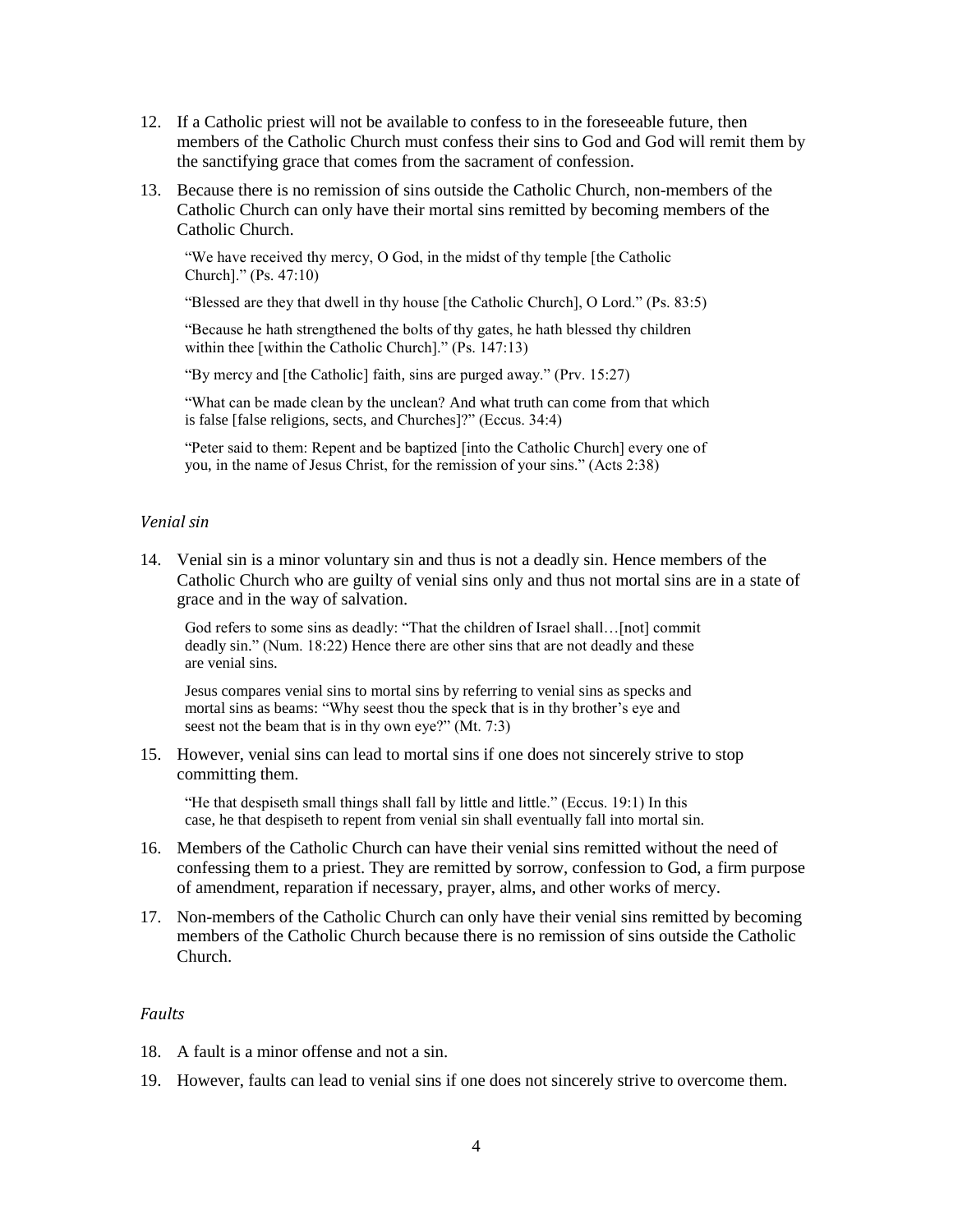- 12. If a Catholic priest will not be available to confess to in the foreseeable future, then members of the Catholic Church must confess their sins to God and God will remit them by the sanctifying grace that comes from the sacrament of confession.
- 13. Because there is no remission of sins outside the Catholic Church, non-members of the Catholic Church can only have their mortal sins remitted by becoming members of the Catholic Church.

"We have received thy mercy, O God, in the midst of thy temple [the Catholic Church]." (Ps. 47:10)

"Blessed are they that dwell in thy house [the Catholic Church], O Lord." (Ps. 83:5)

"Because he hath strengthened the bolts of thy gates, he hath blessed thy children within thee [within the Catholic Church]." (Ps. 147:13)

"By mercy and [the Catholic] faith, sins are purged away." (Prv. 15:27)

"What can be made clean by the unclean? And what truth can come from that which is false [false religions, sects, and Churches]?" (Eccus. 34:4)

"Peter said to them: Repent and be baptized [into the Catholic Church] every one of you, in the name of Jesus Christ, for the remission of your sins." (Acts 2:38)

## <span id="page-3-0"></span>*Venial sin*

14. Venial sin is a minor voluntary sin and thus is not a deadly sin. Hence members of the Catholic Church who are guilty of venial sins only and thus not mortal sins are in a state of grace and in the way of salvation.

God refers to some sins as deadly: "That the children of Israel shall... [not] commit deadly sin." (Num. 18:22) Hence there are other sins that are not deadly and these are venial sins.

Jesus compares venial sins to mortal sins by referring to venial sins as specks and mortal sins as beams: "Why seest thou the speck that is in thy brother's eye and seest not the beam that is in thy own eye?" (Mt. 7:3)

15. However, venial sins can lead to mortal sins if one does not sincerely strive to stop committing them.

"He that despiseth small things shall fall by little and little." (Eccus. 19:1) In this case, he that despiseth to repent from venial sin shall eventually fall into mortal sin.

- 16. Members of the Catholic Church can have their venial sins remitted without the need of confessing them to a priest. They are remitted by sorrow, confession to God, a firm purpose of amendment, reparation if necessary, prayer, alms, and other works of mercy.
- 17. Non-members of the Catholic Church can only have their venial sins remitted by becoming members of the Catholic Church because there is no remission of sins outside the Catholic Church.

#### <span id="page-3-1"></span>*Faults*

- 18. A fault is a minor offense and not a sin.
- 19. However, faults can lead to venial sins if one does not sincerely strive to overcome them.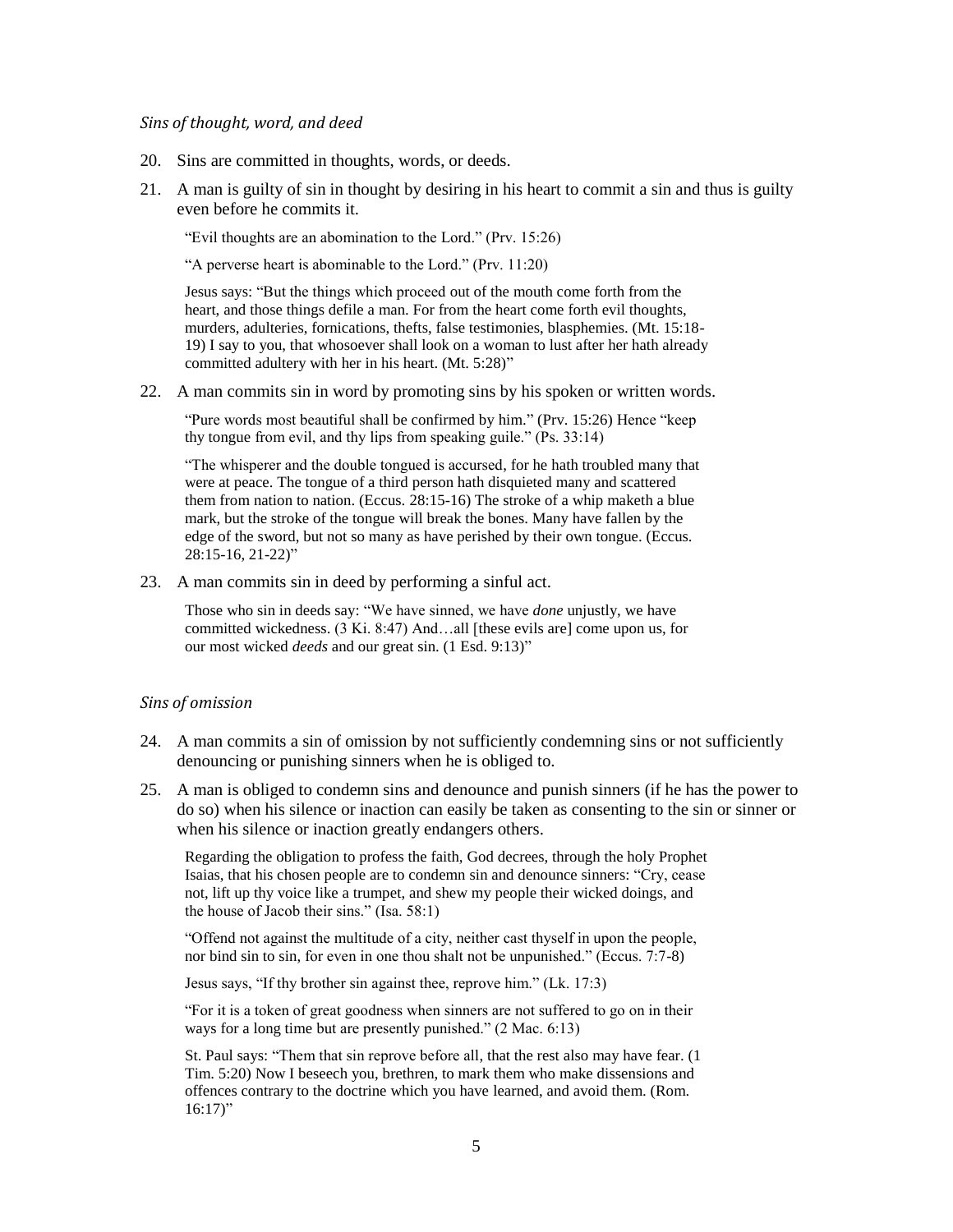#### <span id="page-4-0"></span>*Sins of thought, word, and deed*

- 20. Sins are committed in thoughts, words, or deeds.
- 21. A man is guilty of sin in thought by desiring in his heart to commit a sin and thus is guilty even before he commits it.

"Evil thoughts are an abomination to the Lord." (Prv. 15:26)

"A perverse heart is abominable to the Lord." (Prv. 11:20)

Jesus says: "But the things which proceed out of the mouth come forth from the heart, and those things defile a man. For from the heart come forth evil thoughts, murders, adulteries, fornications, thefts, false testimonies, blasphemies. (Mt. 15:18- 19) I say to you, that whosoever shall look on a woman to lust after her hath already committed adultery with her in his heart. (Mt. 5:28)"

22. A man commits sin in word by promoting sins by his spoken or written words.

"Pure words most beautiful shall be confirmed by him." (Prv. 15:26) Hence "keep thy tongue from evil, and thy lips from speaking guile." (Ps. 33:14)

"The whisperer and the double tongued is accursed, for he hath troubled many that were at peace. The tongue of a third person hath disquieted many and scattered them from nation to nation. (Eccus. 28:15-16) The stroke of a whip maketh a blue mark, but the stroke of the tongue will break the bones. Many have fallen by the edge of the sword, but not so many as have perished by their own tongue. (Eccus. 28:15-16, 21-22)"

23. A man commits sin in deed by performing a sinful act.

Those who sin in deeds say: "We have sinned, we have *done* unjustly, we have committed wickedness. (3 Ki. 8:47) And…all [these evils are] come upon us, for our most wicked *deeds* and our great sin. (1 Esd. 9:13)"

#### <span id="page-4-1"></span>*Sins of omission*

- 24. A man commits a sin of omission by not sufficiently condemning sins or not sufficiently denouncing or punishing sinners when he is obliged to.
- 25. A man is obliged to condemn sins and denounce and punish sinners (if he has the power to do so) when his silence or inaction can easily be taken as consenting to the sin or sinner or when his silence or inaction greatly endangers others.

Regarding the obligation to profess the faith, God decrees, through the holy Prophet Isaias, that his chosen people are to condemn sin and denounce sinners: "Cry, cease not, lift up thy voice like a trumpet, and shew my people their wicked doings, and the house of Jacob their sins." (Isa. 58:1)

"Offend not against the multitude of a city, neither cast thyself in upon the people, nor bind sin to sin, for even in one thou shalt not be unpunished." (Eccus. 7:7-8)

Jesus says, "If thy brother sin against thee, reprove him." (Lk. 17:3)

"For it is a token of great goodness when sinners are not suffered to go on in their ways for a long time but are presently punished." (2 Mac. 6:13)

St. Paul says: "Them that sin reprove before all, that the rest also may have fear. (1 Tim. 5:20) Now I beseech you, brethren, to mark them who make dissensions and offences contrary to the doctrine which you have learned, and avoid them. (Rom.  $16:17$ "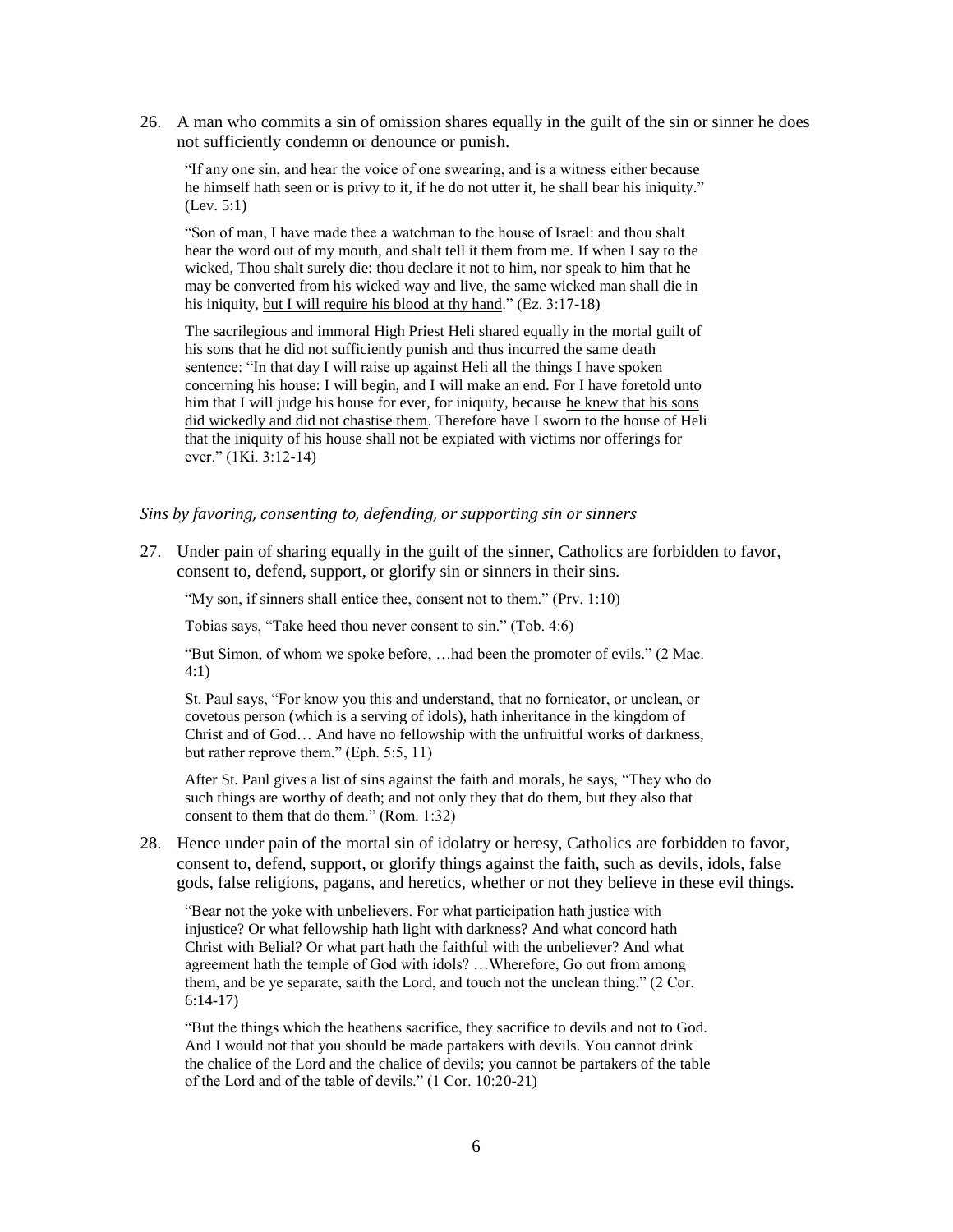26. A man who commits a sin of omission shares equally in the guilt of the sin or sinner he does not sufficiently condemn or denounce or punish.

"If any one sin, and hear the voice of one swearing, and is a witness either because he himself hath seen or is privy to it, if he do not utter it, he shall bear his iniquity." (Lev. 5:1)

"Son of man, I have made thee a watchman to the house of Israel: and thou shalt hear the word out of my mouth, and shalt tell it them from me. If when I say to the wicked, Thou shalt surely die: thou declare it not to him, nor speak to him that he may be converted from his wicked way and live, the same wicked man shall die in his iniquity, but I will require his blood at thy hand." (Ez. 3:17-18)

The sacrilegious and immoral High Priest Heli shared equally in the mortal guilt of his sons that he did not sufficiently punish and thus incurred the same death sentence: "In that day I will raise up against Heli all the things I have spoken concerning his house: I will begin, and I will make an end. For I have foretold unto him that I will judge his house for ever, for iniquity, because he knew that his sons did wickedly and did not chastise them. Therefore have I sworn to the house of Heli that the iniquity of his house shall not be expiated with victims nor offerings for ever." (1Ki. 3:12-14)

#### <span id="page-5-0"></span>*Sins by favoring, consenting to, defending, or supporting sin or sinners*

27. Under pain of sharing equally in the guilt of the sinner, Catholics are forbidden to favor, consent to, defend, support, or glorify sin or sinners in their sins.

"My son, if sinners shall entice thee, consent not to them." (Prv. 1:10)

Tobias says, "Take heed thou never consent to sin." (Tob. 4:6)

"But Simon, of whom we spoke before, …had been the promoter of evils." (2 Mac. 4:1)

St. Paul says, "For know you this and understand, that no fornicator, or unclean, or covetous person (which is a serving of idols), hath inheritance in the kingdom of Christ and of God… And have no fellowship with the unfruitful works of darkness, but rather reprove them." (Eph. 5:5, 11)

After St. Paul gives a list of sins against the faith and morals, he says, "They who do such things are worthy of death; and not only they that do them, but they also that consent to them that do them." (Rom. 1:32)

28. Hence under pain of the mortal sin of idolatry or heresy, Catholics are forbidden to favor, consent to, defend, support, or glorify things against the faith, such as devils, idols, false gods, false religions, pagans, and heretics, whether or not they believe in these evil things.

"Bear not the yoke with unbelievers. For what participation hath justice with injustice? Or what fellowship hath light with darkness? And what concord hath Christ with Belial? Or what part hath the faithful with the unbeliever? And what agreement hath the temple of God with idols? …Wherefore, Go out from among them, and be ye separate, saith the Lord, and touch not the unclean thing." (2 Cor. 6:14-17)

"But the things which the heathens sacrifice, they sacrifice to devils and not to God. And I would not that you should be made partakers with devils. You cannot drink the chalice of the Lord and the chalice of devils; you cannot be partakers of the table of the Lord and of the table of devils." (1 Cor. 10:20-21)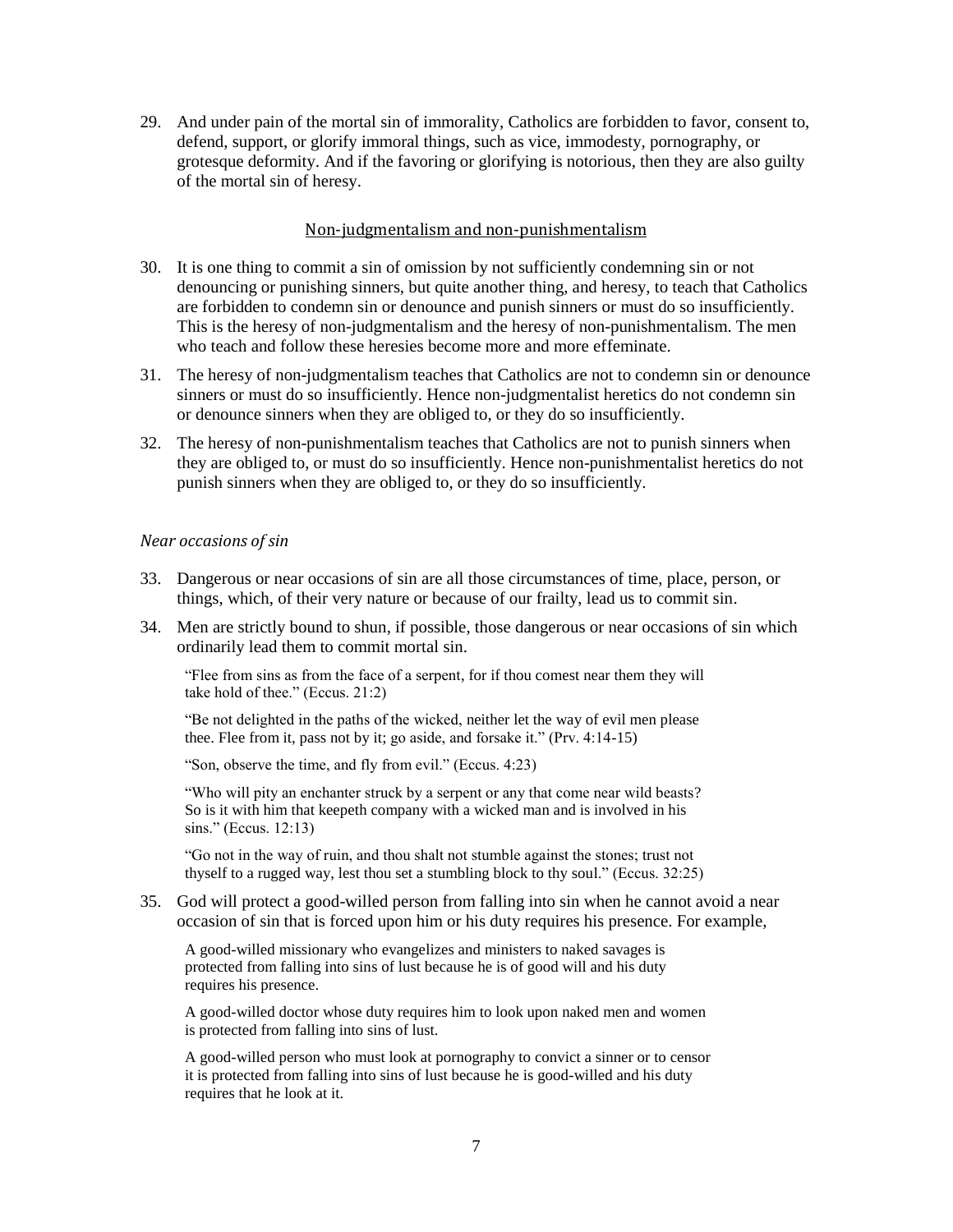29. And under pain of the mortal sin of immorality, Catholics are forbidden to favor, consent to, defend, support, or glorify immoral things, such as vice, immodesty, pornography, or grotesque deformity. And if the favoring or glorifying is notorious, then they are also guilty of the mortal sin of heresy.

# Non-judgmentalism and non-punishmentalism

- <span id="page-6-0"></span>30. It is one thing to commit a sin of omission by not sufficiently condemning sin or not denouncing or punishing sinners, but quite another thing, and heresy, to teach that Catholics are forbidden to condemn sin or denounce and punish sinners or must do so insufficiently. This is the heresy of non-judgmentalism and the heresy of non-punishmentalism. The men who teach and follow these heresies become more and more effeminate.
- 31. The heresy of non-judgmentalism teaches that Catholics are not to condemn sin or denounce sinners or must do so insufficiently. Hence non-judgmentalist heretics do not condemn sin or denounce sinners when they are obliged to, or they do so insufficiently.
- 32. The heresy of non-punishmentalism teaches that Catholics are not to punish sinners when they are obliged to, or must do so insufficiently. Hence non-punishmentalist heretics do not punish sinners when they are obliged to, or they do so insufficiently.

## <span id="page-6-1"></span>*Near occasions of sin*

- 33. Dangerous or near occasions of sin are all those circumstances of time, place, person, or things, which, of their very nature or because of our frailty, lead us to commit sin.
- 34. Men are strictly bound to shun, if possible, those dangerous or near occasions of sin which ordinarily lead them to commit mortal sin.

"Flee from sins as from the face of a serpent, for if thou comest near them they will take hold of thee." (Eccus. 21:2)

"Be not delighted in the paths of the wicked, neither let the way of evil men please thee. Flee from it, pass not by it; go aside, and forsake it." (Prv. 4:14-15)

"Son, observe the time, and fly from evil." (Eccus. 4:23)

"Who will pity an enchanter struck by a serpent or any that come near wild beasts? So is it with him that keepeth company with a wicked man and is involved in his sins." (Eccus. 12:13)

"Go not in the way of ruin, and thou shalt not stumble against the stones; trust not thyself to a rugged way, lest thou set a stumbling block to thy soul." (Eccus. 32:25)

35. God will protect a good-willed person from falling into sin when he cannot avoid a near occasion of sin that is forced upon him or his duty requires his presence. For example,

A good-willed missionary who evangelizes and ministers to naked savages is protected from falling into sins of lust because he is of good will and his duty requires his presence.

A good-willed doctor whose duty requires him to look upon naked men and women is protected from falling into sins of lust.

A good-willed person who must look at pornography to convict a sinner or to censor it is protected from falling into sins of lust because he is good-willed and his duty requires that he look at it.